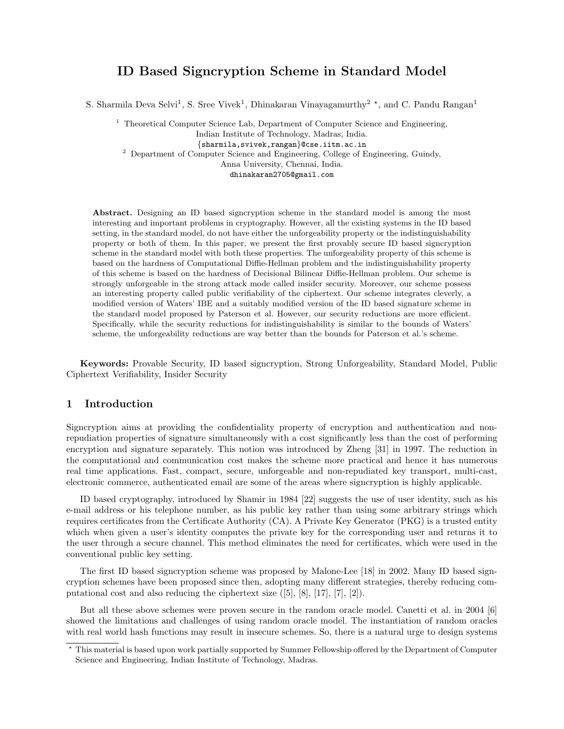# ID Based Signcryption Scheme in Standard Model

S. Sharmila Deva Selvi<sup>1</sup>, S. Sree Vivek<sup>1</sup>, Dhinakaran Vinayagamurthy<sup>2</sup><sup>\*</sup>, and C. Pandu Rangan<sup>1</sup>

<sup>1</sup> Theoretical Computer Science Lab, Department of Computer Science and Engineering,

Indian Institute of Technology, Madras, India.

{sharmila,svivek,rangan}@cse.iitm.ac.in

<sup>2</sup> Department of Computer Science and Engineering, College of Engineering, Guindy,

Anna University, Chennai, India.

dhinakaran2705@gmail.com

Abstract. Designing an ID based signcryption scheme in the standard model is among the most interesting and important problems in cryptography. However, all the existing systems in the ID based setting, in the standard model, do not have either the unforgeability property or the indistinguishability property or both of them. In this paper, we present the first provably secure ID based signcryption scheme in the standard model with both these properties. The unforgeability property of this scheme is based on the hardness of Computational Diffie-Hellman problem and the indistinguishability property of this scheme is based on the hardness of Decisional Bilinear Diffie-Hellman problem. Our scheme is strongly unforgeable in the strong attack mode called insider security. Moreover, our scheme possess an interesting property called public verifiability of the ciphertext. Our scheme integrates cleverly, a modified version of Waters' IBE and a suitably modified version of the ID based signature scheme in the standard model proposed by Paterson et al. However, our security reductions are more efficient. Specifically, while the security reductions for indistinguishability is similar to the bounds of Waters' scheme, the unforgeability reductions are way better than the bounds for Paterson et al.'s scheme.

Keywords: Provable Security, ID based signcryption, Strong Unforgeability, Standard Model, Public Ciphertext Verifiability, Insider Security

# 1 Introduction

Signcryption aims at providing the confidentiality property of encryption and authentication and nonrepudiation properties of signature simultaneously with a cost significantly less than the cost of performing encryption and signature separately. This notion was introduced by Zheng [31] in 1997. The reduction in the computational and communication cost makes the scheme more practical and hence it has numerous real time applications. Fast, compact, secure, unforgeable and non-repudiated key transport, multi-cast, electronic commerce, authenticated email are some of the areas where signcryption is highly applicable.

ID based cryptography, introduced by Shamir in 1984 [22] suggests the use of user identity, such as his e-mail address or his telephone number, as his public key rather than using some arbitrary strings which requires certificates from the Certificate Authority (CA). A Private Key Generator (PKG) is a trusted entity which when given a user's identity computes the private key for the corresponding user and returns it to the user through a secure channel. This method eliminates the need for certificates, which were used in the conventional public key setting.

The first ID based signcryption scheme was proposed by Malone-Lee [18] in 2002. Many ID based signcryption schemes have been proposed since then, adopting many different strategies, thereby reducing computational cost and also reducing the ciphertext size ([5], [8], [17], [7], [2]).

But all these above schemes were proven secure in the random oracle model. Canetti et al. in 2004 [6] showed the limitations and challenges of using random oracle model. The instantiation of random oracles with real world hash functions may result in insecure schemes. So, there is a natural urge to design systems

<sup>?</sup> This material is based upon work partially supported by Summer Fellowship offered by the Department of Computer Science and Engineering, Indian Institute of Technology, Madras.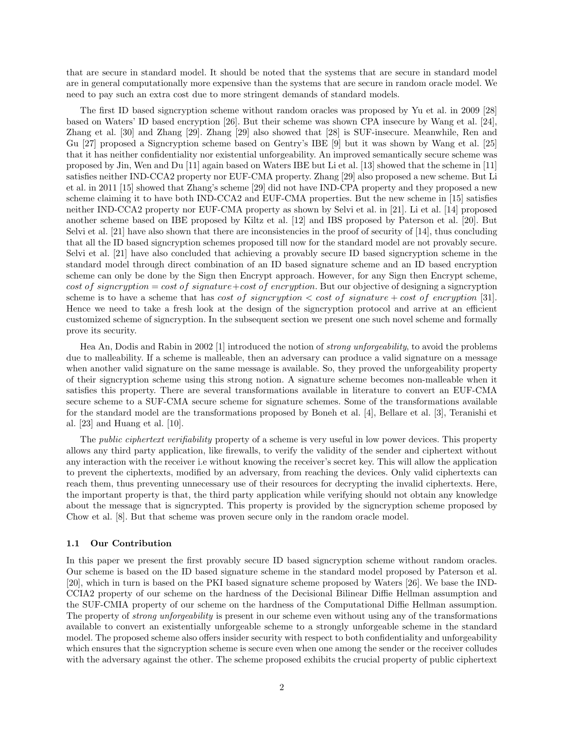that are secure in standard model. It should be noted that the systems that are secure in standard model are in general computationally more expensive than the systems that are secure in random oracle model. We need to pay such an extra cost due to more stringent demands of standard models.

The first ID based signcryption scheme without random oracles was proposed by Yu et al. in 2009 [28] based on Waters' ID based encryption [26]. But their scheme was shown CPA insecure by Wang et al. [24], Zhang et al. [30] and Zhang [29]. Zhang [29] also showed that [28] is SUF-insecure. Meanwhile, Ren and Gu [27] proposed a Signcryption scheme based on Gentry's IBE [9] but it was shown by Wang et al. [25] that it has neither confidentiality nor existential unforgeability. An improved semantically secure scheme was proposed by Jin, Wen and Du [11] again based on Waters IBE but Li et al. [13] showed that the scheme in [11] satisfies neither IND-CCA2 property nor EUF-CMA property. Zhang [29] also proposed a new scheme. But Li et al. in 2011 [15] showed that Zhang's scheme [29] did not have IND-CPA property and they proposed a new scheme claiming it to have both IND-CCA2 and EUF-CMA properties. But the new scheme in [15] satisfies neither IND-CCA2 property nor EUF-CMA property as shown by Selvi et al. in [21]. Li et al. [14] proposed another scheme based on IBE proposed by Kiltz et al. [12] and IBS proposed by Paterson et al. [20]. But Selvi et al. [21] have also shown that there are inconsistencies in the proof of security of [14], thus concluding that all the ID based signcryption schemes proposed till now for the standard model are not provably secure. Selvi et al. [21] have also concluded that achieving a provably secure ID based signcryption scheme in the standard model through direct combination of an ID based signature scheme and an ID based encryption scheme can only be done by the Sign then Encrypt approach. However, for any Sign then Encrypt scheme, cost of signcryption = cost of signature+cost of encryption. But our objective of designing a signcryption scheme is to have a scheme that has cost of signcryption  $\lt$  cost of signature + cost of encryption [31]. Hence we need to take a fresh look at the design of the signcryption protocol and arrive at an efficient customized scheme of signcryption. In the subsequent section we present one such novel scheme and formally prove its security.

Hea An, Dodis and Rabin in 2002 [1] introduced the notion of strong unforgeability, to avoid the problems due to malleability. If a scheme is malleable, then an adversary can produce a valid signature on a message when another valid signature on the same message is available. So, they proved the unforgeability property of their signcryption scheme using this strong notion. A signature scheme becomes non-malleable when it satisfies this property. There are several transformations available in literature to convert an EUF-CMA secure scheme to a SUF-CMA secure scheme for signature schemes. Some of the transformations available for the standard model are the transformations proposed by Boneh et al. [4], Bellare et al. [3], Teranishi et al. [23] and Huang et al. [10].

The *public ciphertext verifiability* property of a scheme is very useful in low power devices. This property allows any third party application, like firewalls, to verify the validity of the sender and ciphertext without any interaction with the receiver i.e without knowing the receiver's secret key. This will allow the application to prevent the ciphertexts, modified by an adversary, from reaching the devices. Only valid ciphertexts can reach them, thus preventing unnecessary use of their resources for decrypting the invalid ciphertexts. Here, the important property is that, the third party application while verifying should not obtain any knowledge about the message that is signcrypted. This property is provided by the signcryption scheme proposed by Chow et al. [8]. But that scheme was proven secure only in the random oracle model.

# 1.1 Our Contribution

In this paper we present the first provably secure ID based signcryption scheme without random oracles. Our scheme is based on the ID based signature scheme in the standard model proposed by Paterson et al. [20], which in turn is based on the PKI based signature scheme proposed by Waters [26]. We base the IND-CCIA2 property of our scheme on the hardness of the Decisional Bilinear Diffie Hellman assumption and the SUF-CMIA property of our scheme on the hardness of the Computational Diffie Hellman assumption. The property of *strong unforgeability* is present in our scheme even without using any of the transformations available to convert an existentially unforgeable scheme to a strongly unforgeable scheme in the standard model. The proposed scheme also offers insider security with respect to both confidentiality and unforgeability which ensures that the signcryption scheme is secure even when one among the sender or the receiver colludes with the adversary against the other. The scheme proposed exhibits the crucial property of public ciphertext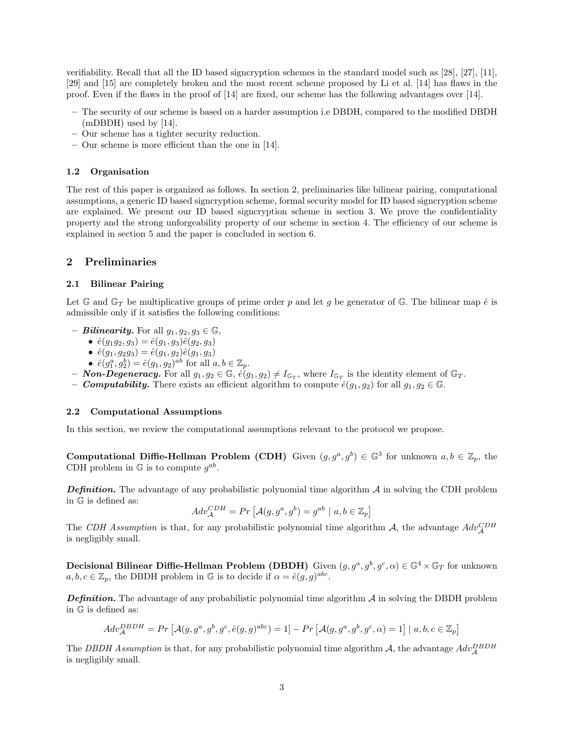verifiability. Recall that all the ID based signcryption schemes in the standard model such as [28], [27], [11], [29] and [15] are completely broken and the most recent scheme proposed by Li et al. [14] has flaws in the proof. Even if the flaws in the proof of [14] are fixed, our scheme has the following advantages over [14].

- The security of our scheme is based on a harder assumption i.e DBDH, compared to the modified DBDH (mDBDH) used by [14].
- Our scheme has a tighter security reduction.
- Our scheme is more efficient than the one in [14].

# 1.2 Organisation

The rest of this paper is organized as follows. In section 2, preliminaries like bilinear pairing, computational assumptions, a generic ID based signcryption scheme, formal security model for ID based signcryption scheme are explained. We present our ID based signcryption scheme in section 3. We prove the confidentiality property and the strong unforgeability property of our scheme in section 4. The efficiency of our scheme is explained in section 5 and the paper is concluded in section 6.

# 2 Preliminaries

# 2.1 Bilinear Pairing

Let G and  $\mathbb{G}_T$  be multiplicative groups of prime order p and let g be generator of G. The bilinear map  $\hat{e}$  is admissible only if it satisfies the following conditions:

- **Bilinearity.** For all  $g_1, g_2, g_3 \in \mathbb{G}$ ,
	- $\hat{e}(g_1g_2, g_3) = \hat{e}(g_1, g_3)\hat{e}(g_2, g_3)$
	- $\hat{e}(g_1, g_2g_3) = \hat{e}(g_1, g_2)\hat{e}(g_1, g_3)$
	- $\hat{e}(g_1^a, g_2^b) = \hat{e}(g_1, g_2)^{ab}$  for all  $a, b \in \mathbb{Z}_p$ .
- $-$  **Non-Degeneracy.** For all  $g_1, g_2 \in \mathbb{G}$ ,  $\hat{e}(g_1, g_2) \neq I_{\mathbb{G}_T}$ , where  $I_{\mathbb{G}_T}$  is the identity element of  $\mathbb{G}_T$ .
- **Computability.** There exists an efficient algorithm to compute  $\hat{e}(g_1, g_2)$  for all  $g_1, g_2 \in \mathbb{G}$ .

#### 2.2 Computational Assumptions

In this section, we review the computational assumptions relevant to the protocol we propose.

**Computational Diffie-Hellman Problem (CDH)** Given  $(g, g^a, g^b) \in \mathbb{G}^3$  for unknown  $a, b \in \mathbb{Z}_p$ , the CDH problem in  $\mathbb G$  is to compute  $g^{ab}$ .

**Definition.** The advantage of any probabilistic polynomial time algorithm  $\mathcal A$  in solving the CDH problem in G is defined as:

$$
Adv_{\mathcal{A}}^{CDH} = Pr\left[\mathcal{A}(g, g^a, g^b) = g^{ab} \mid a, b \in \mathbb{Z}_p\right]
$$

The CDH Assumption is that, for any probabilistic polynomial time algorithm  $A$ , the advantage  $Adv_{A}^{CDH}$ is negligibly small.

Decisional Bilinear Diffie-Hellman Problem (DBDH) Given  $(g, g^a, g^b, g^c, \alpha) \in \mathbb{G}^4 \times \mathbb{G}_T$  for unknown  $a, b, c \in \mathbb{Z}_p$ , the DBDH problem in G is to decide if  $\alpha = \hat{e}(g, g)^{abc}$ .

**Definition.** The advantage of any probabilistic polynomial time algorithm  $\mathcal A$  in solving the DBDH problem in G is defined as:

$$
Adv_{\mathcal{A}}^{DBDH} = Pr\left[\mathcal{A}(g, g^a, g^b, g^c, \hat{e}(g, g)^{abc}) = 1\right] - Pr\left[\mathcal{A}(g, g^a, g^b, g^c, \alpha) = 1\right] | a, b, c \in \mathbb{Z}_p]
$$

The DBDH Assumption is that, for any probabilistic polynomial time algorithm A, the advantage  $Adv_{\mathcal{A}}^{DBDH}$ is negligibly small.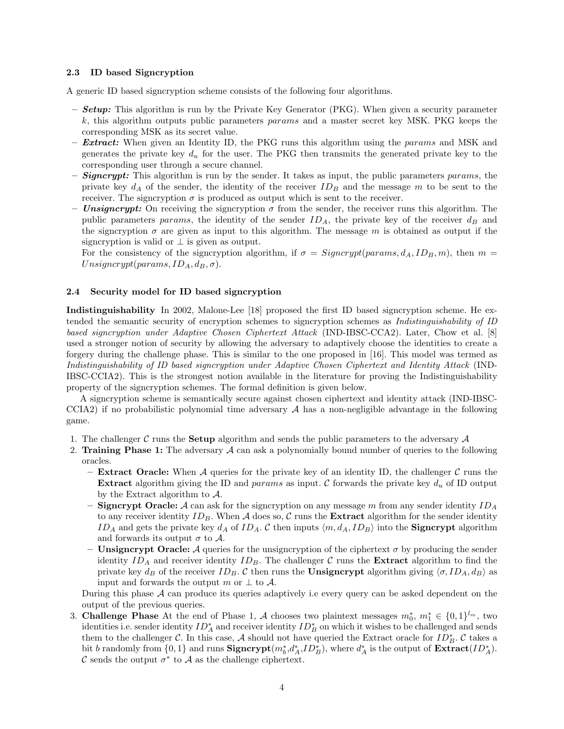#### 2.3 ID based Signcryption

A generic ID based signcryption scheme consists of the following four algorithms.

- $-$  **Setup:** This algorithm is run by the Private Key Generator (PKG). When given a security parameter k, this algorithm outputs public parameters params and a master secret key MSK. PKG keeps the corresponding MSK as its secret value.
- **Extract:** When given an Identity ID, the PKG runs this algorithm using the params and MSK and generates the private key  $d_u$  for the user. The PKG then transmits the generated private key to the corresponding user through a secure channel.
- $-$  Signcrypt: This algorithm is run by the sender. It takes as input, the public parameters params, the private key  $d_A$  of the sender, the identity of the receiver  $ID_B$  and the message m to be sent to the receiver. The signcryption  $\sigma$  is produced as output which is sent to the receiver.
- **Unsigncrypt:** On receiving the signcryption  $\sigma$  from the sender, the receiver runs this algorithm. The public parameters params, the identity of the sender  $ID_A$ , the private key of the receiver  $d_B$  and the signcryption  $\sigma$  are given as input to this algorithm. The message m is obtained as output if the signcryption is valid or  $\perp$  is given as output.

For the consistency of the signcryption algorithm, if  $\sigma = Signcrypt(params, d<sub>A</sub>, ID<sub>B</sub>, m)$ , then  $m =$ Unsigncrypt(params,  $ID_A, d_B, \sigma$ ).

# 2.4 Security model for ID based signcryption

Indistinguishability In 2002, Malone-Lee [18] proposed the first ID based signcryption scheme. He extended the semantic security of encryption schemes to signcryption schemes as Indistinguishability of ID based signcryption under Adaptive Chosen Ciphertext Attack (IND-IBSC-CCA2). Later, Chow et al. [8] used a stronger notion of security by allowing the adversary to adaptively choose the identities to create a forgery during the challenge phase. This is similar to the one proposed in [16]. This model was termed as Indistinguishability of ID based signcryption under Adaptive Chosen Ciphertext and Identity Attack (IND-IBSC-CCIA2). This is the strongest notion available in the literature for proving the Indistinguishability property of the signcryption schemes. The formal definition is given below.

A signcryption scheme is semantically secure against chosen ciphertext and identity attack (IND-IBSC-CCIA2) if no probabilistic polynomial time adversary  $A$  has a non-negligible advantage in the following game.

- 1. The challenger C runs the **Setup** algorithm and sends the public parameters to the adversary  $\mathcal A$
- 2. Training Phase 1: The adversary  $A$  can ask a polynomially bound number of queries to the following oracles.
	- **Extract Oracle:** When A queries for the private key of an identity ID, the challenger C runs the **Extract** algorithm giving the ID and params as input. C forwards the private key  $d_u$  of ID output by the Extract algorithm to  $A$ .
	- Signcrypt Oracle: A can ask for the signcryption on any message m from any sender identity  $ID_A$ to any receiver identity  $ID_B$ . When A does so, C runs the **Extract** algorithm for the sender identity  $ID_A$  and gets the private key  $d_A$  of  $ID_A$ . C then inputs  $\langle m, d_A, ID_B \rangle$  into the **Signcrypt** algorithm and forwards its output  $\sigma$  to  $\mathcal{A}$ .
	- Unsigncrypt Oracle: A queries for the unsigncryption of the ciphertext  $\sigma$  by producing the sender identity  $ID_A$  and receiver identity  $ID_B$ . The challenger C runs the Extract algorithm to find the private key  $d_B$  of the receiver  $ID_B$ . C then runs the **Unsigncrypt** algorithm giving  $\langle \sigma, ID_A, d_B \rangle$  as input and forwards the output m or  $\perp$  to A.

During this phase  $A$  can produce its queries adaptively i.e every query can be asked dependent on the output of the previous queries.

3. Challenge Phase At the end of Phase 1, A chooses two plaintext messages  $m_0^*$ ,  $m_1^* \in \{0,1\}^{l_m}$ , two identities i.e. sender identity  $ID_A^*$  and receiver identity  $ID_B^*$  on which it wishes to be challenged and sends them to the challenger  $\mathcal{C}$ . In this case,  $\mathcal{A}$  should not have queried the Extract oracle for  $ID_{B}^{*}$ .  $\mathcal{C}$  takes a bit b randomly from  $\{0,1\}$  and runs  $Signcrypt(m_b^*, d_A^*, ID_B^*)$ , where  $d_A^*$  is the output of  $Extract(ID_A^*)$ . C sends the output  $\sigma^*$  to A as the challenge ciphertext.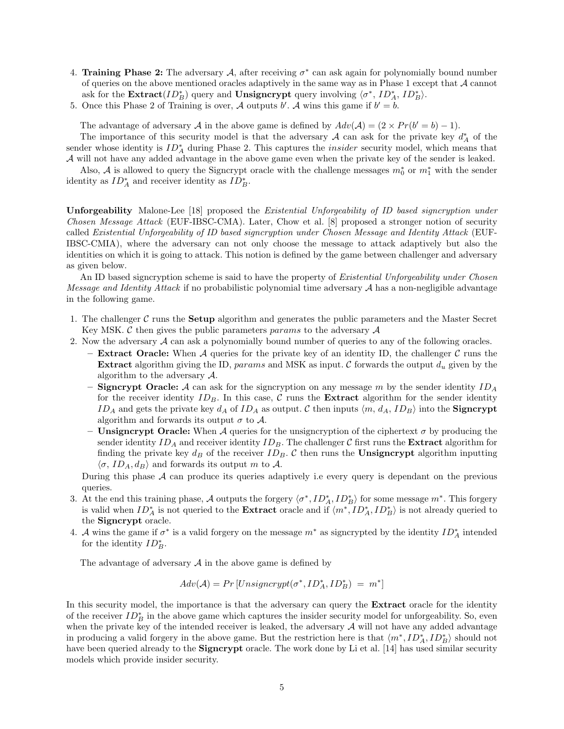- 4. Training Phase 2: The adversary A, after receiving  $\sigma^*$  can ask again for polynomially bound number of queries on the above mentioned oracles adaptively in the same way as in Phase 1 except that  $\mathcal A$  cannot ask for the  $\text{Extract}(ID_B^*)$  query and Unsigncrypt query involving  $\langle \sigma^*, ID_A^*, ID_B^* \rangle$ .
- 5. Once this Phase 2 of Training is over, A outputs b'. A wins this game if  $b' = b$ .

The advantage of adversary A in the above game is defined by  $Adv(\mathcal{A}) = (2 \times Pr(b' = b) - 1)$ .

The importance of this security model is that the adversary  $A$  can ask for the private key  $d_A^*$  of the sender whose identity is  $ID_A^*$  during Phase 2. This captures the *insider* security model, which means that A will not have any added advantage in the above game even when the private key of the sender is leaked.

Also, A is allowed to query the Signcrypt oracle with the challenge messages  $m_0^*$  or  $m_1^*$  with the sender identity as  $ID_A^*$  and receiver identity as  $ID_B^*$ .

Unforgeability Malone-Lee [18] proposed the *Existential Unforgeability of ID based signcryption under* Chosen Message Attack (EUF-IBSC-CMA). Later, Chow et al. [8] proposed a stronger notion of security called Existential Unforgeability of ID based signcryption under Chosen Message and Identity Attack (EUF-IBSC-CMIA), where the adversary can not only choose the message to attack adaptively but also the identities on which it is going to attack. This notion is defined by the game between challenger and adversary as given below.

An ID based signcryption scheme is said to have the property of Existential Unforgeability under Chosen *Message and Identity Attack* if no probabilistic polynomial time adversary  $A$  has a non-negligible advantage in the following game.

- 1. The challenger  $C$  runs the **Setup** algorithm and generates the public parameters and the Master Secret Key MSK.  $\mathcal C$  then gives the public parameters params to the adversary  $\mathcal A$
- 2. Now the adversary A can ask a polynomially bound number of queries to any of the following oracles.
	- **Extract Oracle:** When A queries for the private key of an identity ID, the challenger C runs the Extract algorithm giving the ID, params and MSK as input.  $\mathcal C$  forwards the output  $d_u$  given by the algorithm to the adversary  $A$ .
	- Signcrypt Oracle: A can ask for the signcryption on any message m by the sender identity  $ID_A$ for the receiver identity  $ID_B$ . In this case, C runs the **Extract** algorithm for the sender identity  $ID_A$  and gets the private key  $d_A$  of  $ID_A$  as output. C then inputs  $\langle m, d_A, ID_B \rangle$  into the **Signcrypt** algorithm and forwards its output  $\sigma$  to  $\mathcal{A}$ .
	- Unsigncrypt Oracle: When A queries for the unsigncryption of the ciphertext  $\sigma$  by producing the sender identity  $ID_A$  and receiver identity  $ID_B$ . The challenger C first runs the **Extract** algorithm for finding the private key  $d_B$  of the receiver  $ID_B$ . C then runs the Unsigncrypt algorithm inputting  $\langle \sigma, ID_A, d_B \rangle$  and forwards its output m to A.

During this phase  $A$  can produce its queries adaptively i.e every query is dependant on the previous queries.

- 3. At the end this training phase, A outputs the forgery  $\langle \sigma^*, ID_A^*, ID_B^* \rangle$  for some message  $m^*$ . This forgery is valid when  $ID_A^*$  is not queried to the **Extract** oracle and if  $\langle m^*, ID_A^*, ID_B^* \rangle$  is not already queried to the Signcrypt oracle.
- 4. A wins the game if  $\sigma^*$  is a valid forgery on the message  $m^*$  as signcrypted by the identity  $ID_A^*$  intended for the identity  $ID_B^*$ .

The advantage of adversary  $A$  in the above game is defined by

 $Adv(\mathcal{A}) = Pr[Using ncrypt(\sigma^*, ID_A^*, ID_B^*) = m^*]$ 

In this security model, the importance is that the adversary can query the **Extract** oracle for the identity of the receiver  $ID_B^*$  in the above game which captures the insider security model for unforgeability. So, even when the private key of the intended receiver is leaked, the adversary  $A$  will not have any added advantage in producing a valid forgery in the above game. But the restriction here is that  $\langle m^*, ID_A^*, ID_B^* \rangle$  should not have been queried already to the **Signcrypt** oracle. The work done by Li et al. [14] has used similar security models which provide insider security.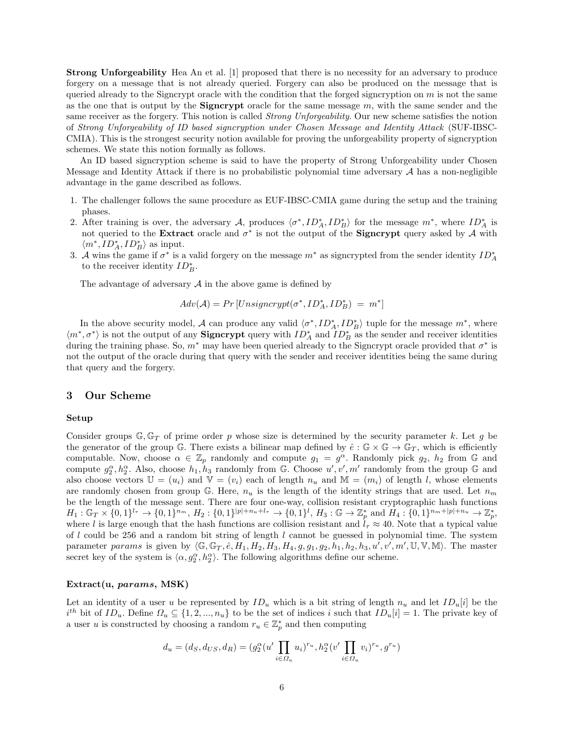Strong Unforgeability Hea An et al. [1] proposed that there is no necessity for an adversary to produce forgery on a message that is not already queried. Forgery can also be produced on the message that is queried already to the Signcrypt oracle with the condition that the forged signcryption on  $m$  is not the same as the one that is output by the **Signcrypt** oracle for the same message  $m$ , with the same sender and the same receiver as the forgery. This notion is called *Strong Unforgeability*. Our new scheme satisfies the notion of Strong Unforgeability of ID based signcryption under Chosen Message and Identity Attack (SUF-IBSC-CMIA). This is the strongest security notion available for proving the unforgeability property of signcryption schemes. We state this notion formally as follows.

An ID based signcryption scheme is said to have the property of Strong Unforgeability under Chosen Message and Identity Attack if there is no probabilistic polynomial time adversary  $A$  has a non-negligible advantage in the game described as follows.

- 1. The challenger follows the same procedure as EUF-IBSC-CMIA game during the setup and the training phases.
- 2. After training is over, the adversary A, produces  $\langle \sigma^*, ID_A^*, ID_B^* \rangle$  for the message  $m^*$ , where  $ID_A^*$  is not queried to the Extract oracle and  $\sigma^*$  is not the output of the Signcrypt query asked by A with  $\langle m^*, ID_A^*, ID_B^* \rangle$  as input.
- 3. A wins the game if  $\sigma^*$  is a valid forgery on the message  $m^*$  as signcrypted from the sender identity  $ID_A^*$ to the receiver identity  $ID_B^*$ .

The advantage of adversary  $A$  in the above game is defined by

$$
Adv(\mathcal{A}) = Pr[Unsigncrypt(\sigma^*, ID_A^*, ID_B^*) = m^*]
$$

In the above security model, A can produce any valid  $\langle \sigma^*, ID_A^*, ID_B^* \rangle$  tuple for the message  $m^*$ , where  $\langle m^*, \sigma^* \rangle$  is not the output of any **Signcrypt** query with  $ID_A^*$  and  $ID_B^*$  as the sender and receiver identities during the training phase. So,  $m^*$  may have been queried already to the Signcrypt oracle provided that  $\sigma^*$  is not the output of the oracle during that query with the sender and receiver identities being the same during that query and the forgery.

# 3 Our Scheme

# Setup

Consider groups  $\mathbb{G}, \mathbb{G}_T$  of prime order p whose size is determined by the security parameter k. Let g be the generator of the group G. There exists a bilinear map defined by  $\hat{e}: \mathbb{G} \times \mathbb{G} \to \mathbb{G}_T$ , which is efficiently computable. Now, choose  $\alpha \in \mathbb{Z}_p$  randomly and compute  $g_1 = g^{\alpha}$ . Randomly pick  $g_2$ ,  $h_2$  from G and compute  $g_2^{\alpha}, h_2^{\alpha}$ . Also, choose  $h_1, h_3$  randomly from G. Choose  $u', v', m'$  randomly from the group G and also choose vectors  $\mathbb{U} = (u_i)$  and  $\mathbb{V} = (v_i)$  each of length  $n_u$  and  $\mathbb{M} = (m_i)$  of length l, whose elements are randomly chosen from group G. Here,  $n_u$  is the length of the identity strings that are used. Let  $n_m$ be the length of the message sent. There are four one-way, collision resistant cryptographic hash functions  $H_1: \mathbb{G}_T \times \{0,1\}^{l_{\tau}} \to \{0,1\}^{n_m}, H_2: \{0,1\}^{|p|+n_u+l_{\tau}} \to \{0,1\}^l, H_3: \mathbb{G} \to \mathbb{Z}_p^*$  and  $H_4: \{0,1\}^{n_m+|p|+n_u} \to \mathbb{Z}_p^*,$ where l is large enough that the hash functions are collision resistant and  $l<sub>\tau</sub> \approx 40$ . Note that a typical value of  $l$  could be 256 and a random bit string of length  $l$  cannot be guessed in polynomial time. The system parameter params is given by  $\langle \mathbb{G}, \mathbb{G}_T, \hat{e}, H_1, H_2, H_3, H_4, g, g_1, g_2, h_1, h_2, h_3, u', v', m', \mathbb{U}, \mathbb{V}, \mathbb{M} \rangle$ . The master secret key of the system is  $\langle \alpha, g_2^{\alpha}, h_2^{\alpha} \rangle$ . The following algorithms define our scheme.

#### Extract(u, params, MSK)

Let an identity of a user u be represented by  $ID_u$  which is a bit string of length  $n_u$  and let  $ID_u[i]$  be the  $i^{th}$  bit of  $ID_u$ . Define  $\Omega_u \subseteq \{1, 2, ..., n_u\}$  to be the set of indices i such that  $ID_u[i] = 1$ . The private key of a user u is constructed by choosing a random  $r_u \in \mathbb{Z}_p^*$  and then computing

$$
d_u = (d_S, d_{US}, d_R) = (g_2^{\alpha}(u' \prod_{i \in \Omega_u} u_i)^{r_u}, h_2^{\alpha}(v' \prod_{i \in \Omega_u} v_i)^{r_u}, g^{r_u})
$$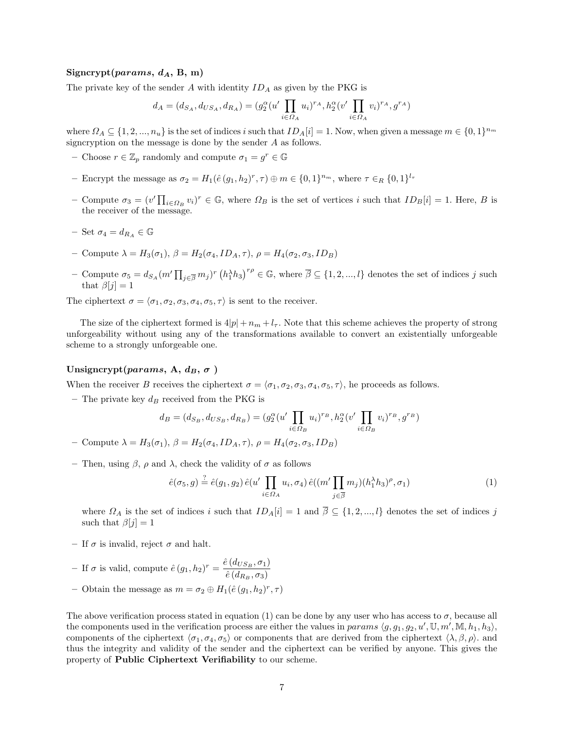#### Signcrypt( $params, d_A, B, m$ )

The private key of the sender  $A$  with identity  $ID_A$  as given by the PKG is

$$
d_A = (d_{S_A}, d_{US_A}, d_{R_A}) = (g_2^{\alpha}(u' \prod_{i \in \Omega_A} u_i)^{r_A}, h_2^{\alpha}(v' \prod_{i \in \Omega_A} v_i)^{r_A}, g^{r_A})
$$

where  $\Omega_A \subseteq \{1, 2, ..., n_u\}$  is the set of indices i such that  $ID_A[i] = 1$ . Now, when given a message  $m \in \{0, 1\}^{n_m}$ signcryption on the message is done by the sender  $A$  as follows.

- Choose  $r \in \mathbb{Z}_p$  randomly and compute  $\sigma_1 = g^r \in \mathbb{G}$
- Encrypt the message as  $\sigma_2 = H_1(\hat{e}(g_1, h_2)^r, \tau) \oplus m \in \{0, 1\}^{n_m}$ , where  $\tau \in_R \{0, 1\}^{l_\tau}$
- Compute  $\sigma_3 = (v' \prod_{i \in \Omega_B} v_i)^r \in \mathbb{G}$ , where  $\Omega_B$  is the set of vertices i such that  $ID_B[i] = 1$ . Here, B is the receiver of the message.
- Set  $\sigma_4 = d_{R_A} \in \mathbb{G}$
- Compute  $\lambda = H_3(\sigma_1)$ ,  $\beta = H_2(\sigma_4, ID_A, \tau)$ ,  $\rho = H_4(\sigma_2, \sigma_3, ID_B)$
- Compute  $\sigma_5 = d_{S_A}(m' \prod_{j \in \overline{\beta}} m_j)^r (h_1^{\lambda} h_3)^{r \rho} \in \mathbb{G}$ , where  $\overline{\beta} \subseteq \{1, 2, ..., l\}$  denotes the set of indices j such that  $\beta[i] = 1$

The ciphertext  $\sigma = \langle \sigma_1, \sigma_2, \sigma_3, \sigma_4, \sigma_5, \tau \rangle$  is sent to the receiver.

The size of the ciphertext formed is  $4|p| + n_m + l_\tau$ . Note that this scheme achieves the property of strong unforgeability without using any of the transformations available to convert an existentially unforgeable scheme to a strongly unforgeable one.

# Unsigncrypt(params, A,  $d_B$ ,  $\sigma$ )

When the receiver B receives the ciphertext  $\sigma = \langle \sigma_1, \sigma_2, \sigma_3, \sigma_4, \sigma_5, \tau \rangle$ , he proceeds as follows.

– The private key  $d_B$  received from the PKG is

$$
d_B = (d_{S_B}, d_{US_B}, d_{R_B}) = (g_2^{\alpha}(u' \prod_{i \in \Omega_B} u_i)^{r_B}, h_2^{\alpha}(v' \prod_{i \in \Omega_B} v_i)^{r_B}, g^{r_B})
$$

- Compute  $\lambda = H_3(\sigma_1)$ ,  $\beta = H_2(\sigma_4, ID_A, \tau)$ ,  $\rho = H_4(\sigma_2, \sigma_3, ID_B)$
- Then, using β, ρ and λ, check the validity of σ as follows

$$
\hat{e}(\sigma_5, g) \stackrel{?}{=} \hat{e}(g_1, g_2) \,\hat{e}(u' \prod_{i \in \Omega_A} u_i, \sigma_4) \,\hat{e}((m' \prod_{j \in \overline{\beta}} m_j)(h_1^{\lambda} h_3)^{\rho}, \sigma_1) \tag{1}
$$

where  $\Omega_A$  is the set of indices i such that  $ID_A[i] = 1$  and  $\overline{\beta} \subseteq \{1, 2, ..., l\}$  denotes the set of indices j such that  $\beta[j] = 1$ 

- If  $\sigma$  is invalid, reject  $\sigma$  and halt.
- If  $\sigma$  is valid, compute  $\hat{e}(g_1, h_2)^r = \frac{\hat{e}(d_{US_B}, \sigma_1)}{\hat{e}(d_{US_B}, \sigma_1)}$  $\hat{e}\left(d_{R_B}, \sigma_3\right)$
- Obtain the message as  $m = \sigma_2 \oplus H_1(\hat{e}(g_1, h_2)^r, \tau)$

The above verification process stated in equation (1) can be done by any user who has access to  $\sigma$ , because all the components used in the verification process are either the values in params  $\langle g, g_1, g_2, u', \mathbb{U}, m', \mathbb{M}, h_1, h_3 \rangle$ , components of the ciphertext  $\langle \sigma_1, \sigma_4, \sigma_5 \rangle$  or components that are derived from the ciphertext  $\langle \lambda, \beta, \rho \rangle$ . and thus the integrity and validity of the sender and the ciphertext can be verified by anyone. This gives the property of Public Ciphertext Verifiability to our scheme.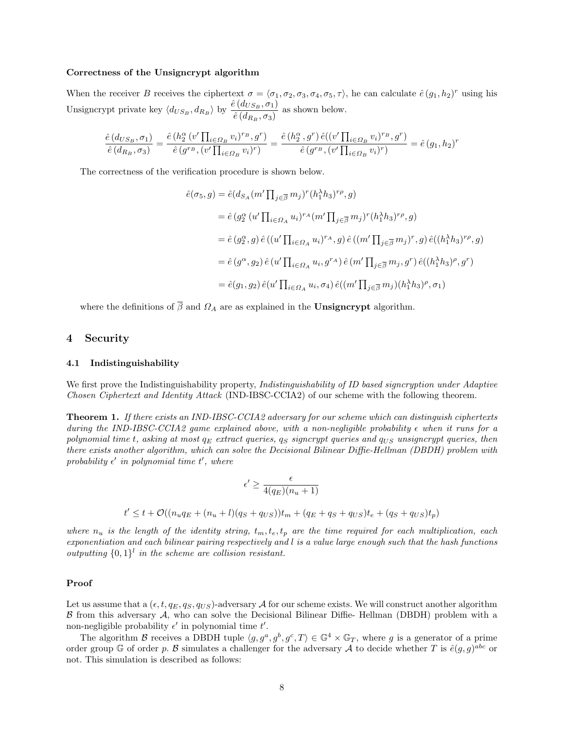#### Correctness of the Unsigncrypt algorithm

When the receiver B receives the ciphertext  $\sigma = \langle \sigma_1, \sigma_2, \sigma_3, \sigma_4, \sigma_5, \tau \rangle$ , he can calculate  $\hat{e}(g_1, h_2)^r$  using his Unsigncrypt private key  $\langle d_{US_B}, d_{R_B} \rangle$  by  $\frac{\hat{e}(d_{US_B}, \sigma_1)}{\hat{e}(d_{R_B}, \sigma_3)}$  as shown below.

$$
\frac{\hat{e}(d_{US_B}, \sigma_1)}{\hat{e}(d_{R_B}, \sigma_3)} = \frac{\hat{e}(h_2^{\alpha}(v' \prod_{i \in \Omega_B} v_i)^{r_B}, g^r)}{\hat{e}(g^{r_B}, (v' \prod_{i \in \Omega_B} v_i)^r)} = \frac{\hat{e}(h_2^{\alpha}, g^r) \hat{e}((v' \prod_{i \in \Omega_B} v_i)^{r_B}, g^r)}{\hat{e}(g^{r_B}, (v' \prod_{i \in \Omega_B} v_i)^r)} = \hat{e}(g_1, h_2)^r
$$

The correctness of the verification procedure is shown below.

$$
\begin{split}\n\hat{e}(\sigma_5, g) &= \hat{e}(d_{S_A}(m' \prod_{j \in \overline{\beta}} m_j)^r (h_1^{\lambda} h_3)^{r \rho}, g) \\
&= \hat{e}(g_2^{\alpha} (u' \prod_{i \in \Omega_A} u_i)^{r_A} (m' \prod_{j \in \overline{\beta}} m_j)^r (h_1^{\lambda} h_3)^{r \rho}, g) \\
&= \hat{e}(g_2^{\alpha}, g) \, \hat{e} \left( (u' \prod_{i \in \Omega_A} u_i)^{r_A}, g \right) \hat{e} \left( (m' \prod_{j \in \overline{\beta}} m_j)^r, g \right) \hat{e} \left( (h_1^{\lambda} h_3)^{r \rho}, g \right) \\
&= \hat{e}(g^{\alpha}, g_2) \, \hat{e} \left( u' \prod_{i \in \Omega_A} u_i, g^{r_A} \right) \hat{e} \left( m' \prod_{j \in \overline{\beta}} m_j, g^r \right) \hat{e} \left( (h_1^{\lambda} h_3)^{\rho}, g^r \right) \\
&= \hat{e}(g_1, g_2) \, \hat{e}(u' \prod_{i \in \Omega_A} u_i, \sigma_4) \, \hat{e} \left( (m' \prod_{j \in \overline{\beta}} m_j) (h_1^{\lambda} h_3)^{\rho}, \sigma_1 \right)\n\end{split}
$$

where the definitions of  $\bar{\beta}$  and  $\Omega_A$  are as explained in the Unsigncrypt algorithm.

# 4 Security

#### 4.1 Indistinguishability

We first prove the Indistinguishability property, Indistinguishability of ID based signcryption under Adaptive Chosen Ciphertext and Identity Attack (IND-IBSC-CCIA2) of our scheme with the following theorem.

Theorem 1. If there exists an IND-IBSC-CCIA2 adversary for our scheme which can distinguish ciphertexts during the IND-IBSC-CCIA2 game explained above, with a non-negligible probability  $\epsilon$  when it runs for a polynomial time t, asking at most  $q_E$  extract queries,  $q_S$  signcrypt queries and  $q_{US}$  unsigncrypt queries, then there exists another algorithm, which can solve the Decisional Bilinear Diffie-Hellman (DBDH) problem with probability  $\epsilon'$  in polynomial time  $t'$ , where

$$
\epsilon' \ge \frac{\epsilon}{4(q_E)(n_u+1)}
$$
  

$$
t' \le t + \mathcal{O}((n_uq_E + (n_u+l)(q_S + q_{US}))t_m + (q_E + q_S + q_{US})t_e + (q_S + q_{US})t_p)
$$

where  $n_u$  is the length of the identity string,  $t_m, t_e, t_p$  are the time required for each multiplication, each exponentiation and each bilinear pairing respectively and l is a value large enough such that the hash functions outputting  $\{0,1\}^l$  in the scheme are collision resistant.

## Proof

Let us assume that a  $(\epsilon, t, q_E, q_S, q_{US})$ -adversary A for our scheme exists. We will construct another algorithm  $\beta$  from this adversary  $\mathcal{A}$ , who can solve the Decisional Bilinear Diffie- Hellman (DBDH) problem with a non-negligible probability  $\epsilon'$  in polynomial time  $t'$ .

The algorithm B receives a DBDH tuple  $\langle g, g^a, g^b, g^c, T \rangle \in \mathbb{G}^4 \times \mathbb{G}_T$ , where g is a generator of a prime order group G of order p. B simulates a challenger for the adversary A to decide whether T is  $\hat{e}(g, g)^{abc}$  or not. This simulation is described as follows: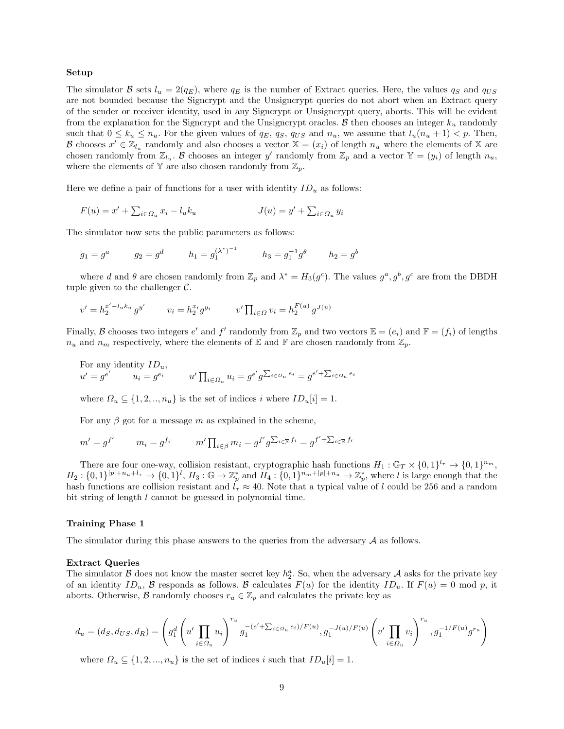#### Setup

The simulator B sets  $l_u = 2(q_E)$ , where  $q_E$  is the number of Extract queries. Here, the values  $q_S$  and  $q_{US}$ are not bounded because the Signcrypt and the Unsigncrypt queries do not abort when an Extract query of the sender or receiver identity, used in any Signcrypt or Unsigncrypt query, aborts. This will be evident from the explanation for the Signcrypt and the Unsigncrypt oracles.  $\mathcal{B}$  then chooses an integer  $k_u$  randomly such that  $0 \leq k_u \leq n_u$ . For the given values of  $q_E, q_S, q_{US}$  and  $n_u$ , we assume that  $l_u(n_u + 1) < p$ . Then, B chooses  $x' \in \mathbb{Z}_{l_u}$  randomly and also chooses a vector  $\mathbb{X} = (x_i)$  of length  $n_u$  where the elements of X are chosen randomly from  $\mathbb{Z}_{l_u}$ . B chooses an integer y' randomly from  $\mathbb{Z}_p$  and a vector  $\mathbb{Y} = (y_i)$  of length  $n_u$ , where the elements of Y are also chosen randomly from  $\mathbb{Z}_p$ .

Here we define a pair of functions for a user with identity  $ID_u$  as follows:

$$
F(u) = x' + \sum_{i \in \Omega_u} x_i - l_u k_u \qquad J(u) = y' + \sum_{i \in \Omega_u} y_i
$$

The simulator now sets the public parameters as follows:

$$
g_1 = g^a
$$
  $g_2 = g^d$   $h_1 = g_1^{(\lambda^*)^{-1}}$   $h_3 = g_1^{-1} g^\theta$   $h_2 = g^b$ 

where d and  $\theta$  are chosen randomly from  $\mathbb{Z}_p$  and  $\lambda^* = H_3(g^c)$ . The values  $g^a, g^b, g^c$  are from the DBDH tuple given to the challenger  $\mathcal{C}$ .

$$
v' = h_2^{x'-l_u k_u} g^{y'} \qquad v_i = h_2^{x_i} g^{y_i} \qquad v' \prod_{i \in \Omega} v_i = h_2^{F(u)} g^{J(u)}
$$

Finally, B chooses two integers e' and f' randomly from  $\mathbb{Z}_p$  and two vectors  $\mathbb{E} = (e_i)$  and  $\mathbb{F} = (f_i)$  of lengths  $n_u$  and  $n_m$  respectively, where the elements of E and F are chosen randomly from  $\mathbb{Z}_p$ .

For any identity 
$$
ID_u
$$
,  
\n $u' = g^{e'} \t u_i = g^{e_i}$   $u' \prod_{i \in \Omega_u} u_i = g^{e'} g^{\sum_{i \in \Omega_u} e_i} = g^{e' + \sum_{i \in \Omega_u} e_i}$ 

where  $\Omega_u \subseteq \{1, 2, ..., n_u\}$  is the set of indices i where  $ID_u[i] = 1$ .

For any  $\beta$  got for a message m as explained in the scheme,

$$
m' = g^{f'} \qquad m_i = g^{f_i} \qquad m' \prod_{i \in \overline{\beta}} m_i = g^{f'} g^{\sum_{i \in \overline{\beta}} f_i} = g^{f' + \sum_{i \in \overline{\beta}} f_i}
$$

There are four one-way, collision resistant, cryptographic hash functions  $H_1: \mathbb{G}_T \times \{0,1\}^{l_{\tau}} \to \{0,1\}^{n_m}$ ,  $H_2: \{0,1\}^{|p|+n_u+l_{\tau}} \to \{0,1\}^l$ ,  $H_3: \mathbb{G} \to \mathbb{Z}_p^*$  and  $H_4: \{0,1\}^{n_m+|p|+n_u} \to \mathbb{Z}_p^*$ , where l is large enough that the hash functions are collision resistant and  $l<sub>\tau</sub> \approx 40$ . Note that a typical value of l could be 256 and a random bit string of length l cannot be guessed in polynomial time.

#### Training Phase 1

The simulator during this phase answers to the queries from the adversary  $A$  as follows.

#### Extract Queries

The simulator  $\beta$  does not know the master secret key  $h_2^a$ . So, when the adversary  $\mathcal A$  asks for the private key of an identity  $ID_u$ ,  $\beta$  responds as follows.  $\beta$  calculates  $F(u)$  for the identity  $ID_u$ . If  $F(u) = 0 \text{ mod } p$ , it aborts. Otherwise, B randomly chooses  $r_u \in \mathbb{Z}_p$  and calculates the private key as

$$
d_u = (d_S, d_{US}, d_R) = \left( g_1^d \left( u' \prod_{i \in \Omega_u} u_i \right)^{r_u} g_1^{-(e' + \sum_{i \in \Omega_u} e_i)/F(u)}, g_1^{-J(u)/F(u)} \left( v' \prod_{i \in \Omega_u} v_i \right)^{r_u}, g_1^{-1/F(u)} g^{r_u} \right)
$$

where  $\Omega_u \subseteq \{1, 2, ..., n_u\}$  is the set of indices i such that  $ID_u[i] = 1$ .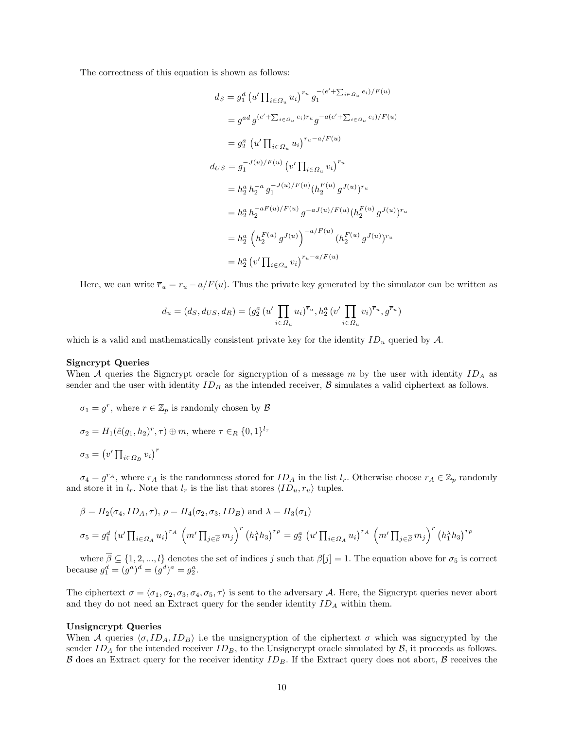The correctness of this equation is shown as follows:

$$
d_S = g_1^d (u' \prod_{i \in \Omega_u} u_i)^{r_u} g_1^{-(e' + \sum_{i \in \Omega_u} e_i)/F(u)}
$$
  
\n
$$
= g^{ad} g^{(e' + \sum_{i \in \Omega_u} e_i) r_u} g^{-a(e' + \sum_{i \in \Omega_u} e_i)/F(u)}
$$
  
\n
$$
= g_2^a (u' \prod_{i \in \Omega_u} u_i)^{r_u - a/F(u)}
$$
  
\n
$$
d_{US} = g_1^{-J(u)/F(u)} (v' \prod_{i \in \Omega_u} v_i)^{r_u}
$$
  
\n
$$
= h_2^a h_2^{-a} g_1^{-J(u)/F(u)} (h_2^{F(u)} g^{J(u)})^{r_u}
$$
  
\n
$$
= h_2^a h_2^{-aF(u)/F(u)} g^{-aJ(u)/F(u)} (h_2^{F(u)} g^{J(u)})^{r_u}
$$
  
\n
$$
= h_2^a (h_2^{F(u)} g^{J(u)})^{-a/F(u)} (h_2^{F(u)} g^{J(u)})^{r_u}
$$
  
\n
$$
= h_2^a (v' \prod_{i \in \Omega_u} v_i)^{r_u - a/F(u)}
$$

Here, we can write  $\overline{r}_u = r_u - a/F(u)$ . Thus the private key generated by the simulator can be written as

$$
d_u = (d_S, d_{US}, d_R) = (g_2^a (u' \prod_{i \in \Omega_u} u_i)^{\overline{r}_u}, h_2^a (v' \prod_{i \in \Omega_u} v_i)^{\overline{r}_u}, g^{\overline{r}_u})
$$

which is a valid and mathematically consistent private key for the identity  $ID_u$  queried by  $\mathcal{A}$ .

#### Signcrypt Queries

When A queries the Signcrypt oracle for signcryption of a message  $m$  by the user with identity  $ID_A$  as sender and the user with identity  $ID_B$  as the intended receiver,  $\beta$  simulates a valid ciphertext as follows.

 $\sigma_1 = g^r$ , where  $r \in \mathbb{Z}_p$  is randomly chosen by  $\mathcal{B}$  $\sigma_2 = H_1(\hat{e}(g_1, h_2)^r, \tau) \oplus m$ , where  $\tau \in_R \{0, 1\}^{l_{\tau}}$  $\sigma_3 = (v' \prod_{i \in \Omega_B} v_i)^r$ 

 $\sigma_4 = g^{r_A}$ , where  $r_A$  is the randomness stored for  $ID_A$  in the list  $l_r$ . Otherwise choose  $r_A \in \mathbb{Z}_p$  randomly and store it in  $l_r$ . Note that  $l_r$  is the list that stores  $\langle ID_u, r_u \rangle$  tuples.

$$
\beta = H_2(\sigma_4, ID_A, \tau), \ \rho = H_4(\sigma_2, \sigma_3, ID_B) \text{ and } \lambda = H_3(\sigma_1)
$$

$$
\sigma_5 = g_1^d \left( u' \prod_{i \in \Omega_A} u_i \right)^{r_A} \left( m' \prod_{j \in \overline{\beta}} m_j \right)^r \left( h_1^{\lambda} h_3 \right)^{r \rho} = g_2^a \left( u' \prod_{i \in \Omega_A} u_i \right)^{r_A} \left( m' \prod_{j \in \overline{\beta}} m_j \right)^r \left( h_1^{\lambda} h_3 \right)^{r \rho}
$$

where  $\overline{\beta} \subseteq \{1, 2, ..., l\}$  denotes the set of indices j such that  $\beta[j] = 1$ . The equation above for  $\sigma_5$  is correct because  $g_1^d = (g^a)^d = (g^d)^a = g_2^a$ .

The ciphertext  $\sigma = \langle \sigma_1, \sigma_2, \sigma_3, \sigma_4, \sigma_5, \tau \rangle$  is sent to the adversary A. Here, the Signcrypt queries never abort and they do not need an Extract query for the sender identity  $ID_A$  within them.

### Unsigncrypt Queries

When A queries  $\langle \sigma, ID_A, ID_B \rangle$  i.e the unsigncryption of the ciphertext  $\sigma$  which was signcrypted by the sender  $ID_A$  for the intended receiver  $ID_B$ , to the Unsigncrypt oracle simulated by  $B$ , it proceeds as follows.  $\beta$  does an Extract query for the receiver identity  $ID_B$ . If the Extract query does not abort,  $\beta$  receives the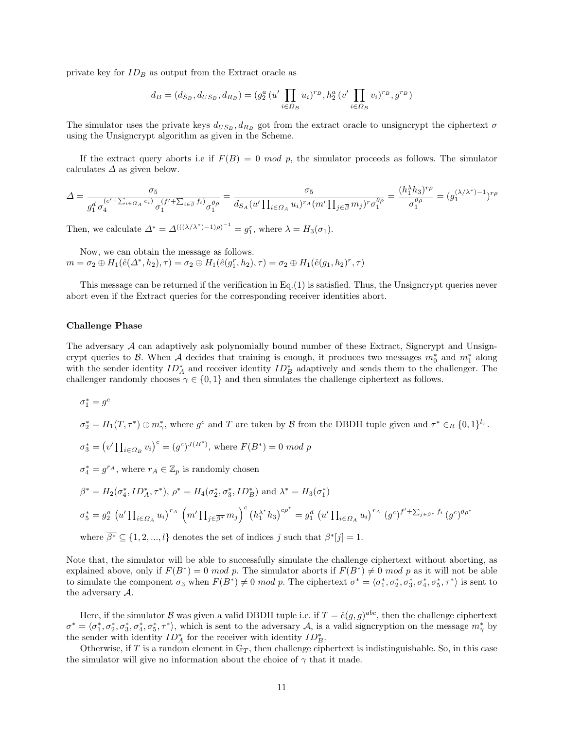private key for  $ID_B$  as output from the Extract oracle as

$$
d_B = (d_{S_B}, d_{US_B}, d_{R_B}) = (g_2^a (u' \prod_{i \in \Omega_B} u_i)^{r_B}, h_2^a (v' \prod_{i \in \Omega_B} v_i)^{r_B}, g^{r_B})
$$

The simulator uses the private keys  $d_{USB}$ ,  $d_{R_B}$  got from the extract oracle to unsigncrypt the ciphertext  $\sigma$ using the Unsigncrypt algorithm as given in the Scheme.

If the extract query aborts i.e if  $F(B) = 0 \mod p$ , the simulator proceeds as follows. The simulator calculates  $\Delta$  as given below.

$$
\Delta = \frac{\sigma_5}{g_1^d \sigma_4^{(e' + \sum_{i \in \Omega_A} e_i)} \sigma_1^{(f' + \sum_{i \in \overline{\beta}} f_i)} \sigma_1^{\theta \rho}} = \frac{\sigma_5}{d_{SA}(u' \prod_{i \in \Omega_A} u_i)^{r_A}(m' \prod_{j \in \overline{\beta}} m_j)^r \sigma_1^{\theta \rho}} = \frac{(h_1^{\lambda} h_3)^{r \rho}}{\sigma_1^{\theta \rho}} = (g_1^{(\lambda/\lambda^*)-1})^{r \rho}
$$

Then, we calculate  $\Delta^* = \Delta^{((\lambda/\lambda^*)-1)\rho)^{-1}} = g_1^r$ , where  $\lambda = H_3(\sigma_1)$ .

Now, we can obtain the message as follows.  $m = \sigma_2 \oplus H_1(\hat{e}(\Delta^*, h_2), \tau) = \sigma_2 \oplus H_1(\hat{e}(g_1^r, h_2), \tau) = \sigma_2 \oplus H_1(\hat{e}(g_1, h_2)^r, \tau)$ 

This message can be returned if the verification in Eq.(1) is satisfied. Thus, the Unsigncrypt queries never abort even if the Extract queries for the corresponding receiver identities abort.

# Challenge Phase

The adversary A can adaptively ask polynomially bound number of these Extract, Signcrypt and Unsigncrypt queries to B. When A decides that training is enough, it produces two messages  $m_0^*$  and  $m_1^*$  along with the sender identity  $ID_A^*$  and receiver identity  $ID_B^*$  adaptively and sends them to the challenger. The challenger randomly chooses  $\gamma \in \{0,1\}$  and then simulates the challenge ciphertext as follows.

 $\sigma_1^* = g^c$ 

 $\sigma_2^* = H_1(T, \tau^*) \oplus m_{\gamma}^*$ , where  $g^c$  and T are taken by B from the DBDH tuple given and  $\tau^* \in_R \{0,1\}^{l_{\tau}}$ .

$$
\sigma_3^* = (v' \prod_{i \in \Omega_B} v_i)^c = (g^c)^{J(B^*)}
$$
, where  $F(B^*) = 0 \mod p$ 

 $\sigma_4^* = g^{r_A}$ , where  $r_A \in \mathbb{Z}_p$  is randomly chosen

$$
\beta^* = H_2(\sigma_4^*, ID_A^*, \tau^*), \ \rho^* = H_4(\sigma_2^*, \sigma_3^*, ID_B^*) \text{ and } \lambda^* = H_3(\sigma_1^*)
$$
  

$$
\sigma_5^* = g_2^a \left( u' \prod_{i \in \Omega_A} u_i \right)^{r_A} \left( m' \prod_{j \in \overline{\beta^*}} m_j \right)^c \left( h_1^* h_3 \right)^{c \rho^*} = g_1^d \left( u' \prod_{i \in \Omega_A} u_i \right)^{r_A} \left( g^c \right)^{f' + \sum_{j \in \overline{\beta^*}} f_i} \left( g^c \right)^{\theta \rho^*}
$$

where  $\overline{\beta^*} \subseteq \{1, 2, ..., l\}$  denotes the set of indices j such that  $\beta^*[j] = 1$ .

Note that, the simulator will be able to successfully simulate the challenge ciphertext without aborting, as explained above, only if  $F(B^*) = 0 \mod p$ . The simulator aborts if  $F(B^*) \neq 0 \mod p$  as it will not be able to simulate the component  $\sigma_3$  when  $F(B^*) \neq 0 \mod p$ . The ciphertext  $\sigma^* = \langle \sigma_1^*, \sigma_2^*, \sigma_3^*, \sigma_4^*, \sigma_5^*, \tau^* \rangle$  is sent to the adversary A.

Here, if the simulator B was given a valid DBDH tuple i.e. if  $T = \hat{e}(g, g)^{abc}$ , then the challenge ciphertext  $\sigma^* = \langle \sigma_1^*, \sigma_2^*, \sigma_3^*, \sigma_4^*, \sigma_5^*, \tau^* \rangle$ , which is sent to the adversary A, is a valid signcryption on the message  $m_\gamma^*$  by the sender with identity  $ID_A^*$  for the receiver with identity  $ID_B^*$ .

Otherwise, if T is a random element in  $\mathbb{G}_T$ , then challenge ciphertext is indistinguishable. So, in this case the simulator will give no information about the choice of  $\gamma$  that it made.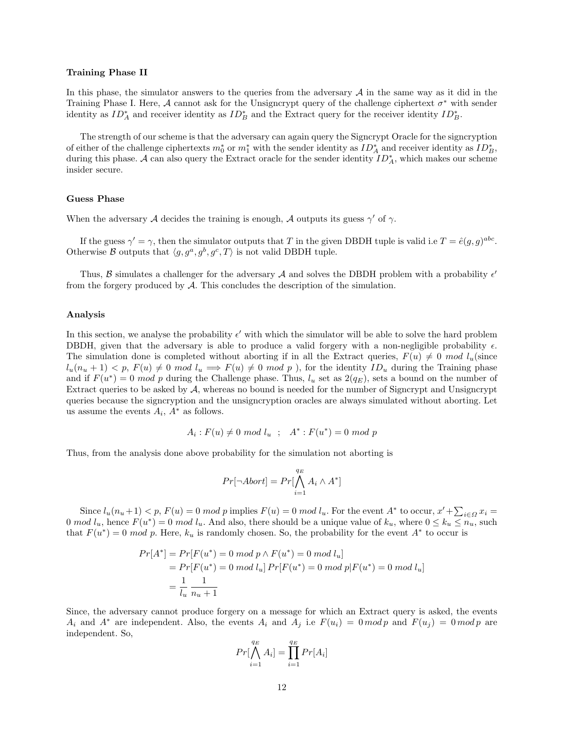#### Training Phase II

In this phase, the simulator answers to the queries from the adversary  $A$  in the same way as it did in the Training Phase I. Here, A cannot ask for the Unsigncrypt query of the challenge ciphertext  $\sigma^*$  with sender identity as  $ID_A^*$  and receiver identity as  $ID_B^*$  and the Extract query for the receiver identity  $ID_B^*$ .

The strength of our scheme is that the adversary can again query the Signcrypt Oracle for the signcryption of either of the challenge ciphertexts  $m_0^*$  or  $m_1^*$  with the sender identity as  $ID_A^*$  and receiver identity as  $ID_B^*$ , during this phase. A can also query the Extract oracle for the sender identity  $ID_A^*$ , which makes our scheme insider secure.

# Guess Phase

When the adversary A decides the training is enough, A outputs its guess  $\gamma'$  of  $\gamma$ .

If the guess  $\gamma' = \gamma$ , then the simulator outputs that T in the given DBDH tuple is valid i.e  $T = \hat{e}(g, g)^{abc}$ . Otherwise B outputs that  $\langle g, g^a, g^b, g^c, T \rangle$  is not valid DBDH tuple.

Thus,  $\beta$  simulates a challenger for the adversary  $\mathcal A$  and solves the DBDH problem with a probability  $\epsilon'$ from the forgery produced by  $A$ . This concludes the description of the simulation.

#### Analysis

In this section, we analyse the probability  $\epsilon'$  with which the simulator will be able to solve the hard problem DBDH, given that the adversary is able to produce a valid forgery with a non-negligible probability  $\epsilon$ . The simulation done is completed without aborting if in all the Extract queries,  $F(u) \neq 0 \mod l_u$  (since  $l_u(n_u + 1) < p$ ,  $F(u) \neq 0 \mod l_u \Longrightarrow F(u) \neq 0 \mod p$ , for the identity  $ID_u$  during the Training phase and if  $F(u^*) = 0 \mod p$  during the Challenge phase. Thus,  $l_u$  set as  $2(q_E)$ , sets a bound on the number of Extract queries to be asked by A, whereas no bound is needed for the number of Signcrypt and Unsigncrypt queries because the signcryption and the unsigncryption oracles are always simulated without aborting. Let us assume the events  $A_i$ ,  $A^*$  as follows.

$$
A_i: F(u) \neq 0 \mod l_u \quad ; \quad A^*: F(u^*) = 0 \mod p
$$

Thus, from the analysis done above probability for the simulation not aborting is

$$
Pr[\neg{Abort}] = Pr[\bigwedge_{i=1}^{q_E} A_i \wedge A^*]
$$

Since  $l_u(n_u+1) < p$ ,  $F(u) = 0 \mod p$  implies  $F(u) = 0 \mod l_u$ . For the event  $A^*$  to occur,  $x' + \sum_{i \in \Omega} x_i =$ 0 mod  $l_u$ , hence  $F(u^*) = 0 \mod l_u$ . And also, there should be a unique value of  $k_u$ , where  $0 \leq k_u \leq n_u$ , such that  $F(u^*) = 0 \mod p$ . Here,  $k_u$  is randomly chosen. So, the probability for the event  $A^*$  to occur is

$$
Pr[A^*] = Pr[F(u^*) = 0 \mod p \land F(u^*) = 0 \mod l_u]
$$
  
= 
$$
Pr[F(u^*) = 0 \mod l_u] Pr[F(u^*) = 0 \mod p | F(u^*) = 0 \mod l_u]
$$
  
= 
$$
\frac{1}{l_u} \frac{1}{n_u + 1}
$$

Since, the adversary cannot produce forgery on a message for which an Extract query is asked, the events  $A_i$  and  $A^*$  are independent. Also, the events  $A_i$  and  $A_j$  i.e  $F(u_i) = 0 \mod p$  and  $F(u_j) = 0 \mod p$  are independent. So,

$$
Pr[\bigwedge_{i=1}^{q_E} A_i] = \prod_{i=1}^{q_E} Pr[A_i]
$$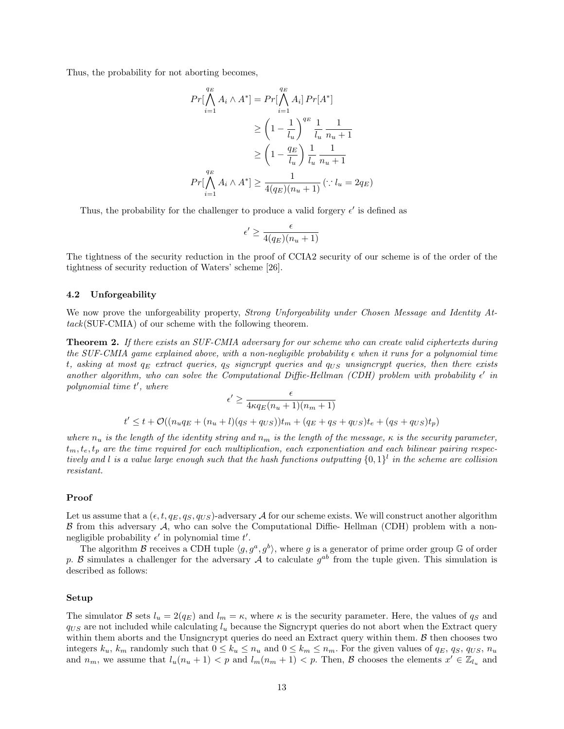Thus, the probability for not aborting becomes,

$$
Pr[\bigwedge_{i=1}^{q_E} A_i \wedge A^*] = Pr[\bigwedge_{i=1}^{q_E} A_i] Pr[A^*]
$$
  
\n
$$
\geq \left(1 - \frac{1}{l_u}\right)^{q_E} \frac{1}{l_u} \frac{1}{n_u + 1}
$$
  
\n
$$
\geq \left(1 - \frac{q_E}{l_u}\right) \frac{1}{l_u} \frac{1}{n_u + 1}
$$
  
\n
$$
Pr[\bigwedge_{i=1}^{q_E} A_i \wedge A^*] \geq \frac{1}{4(q_E)(n_u + 1)} \left(\because l_u = 2q_E\right)
$$

Thus, the probability for the challenger to produce a valid forgery  $\epsilon'$  is defined as

$$
\epsilon' \geq \frac{\epsilon}{4(q_E)(n_u+1)}
$$

The tightness of the security reduction in the proof of CCIA2 security of our scheme is of the order of the tightness of security reduction of Waters' scheme [26].

# 4.2 Unforgeability

We now prove the unforgeability property, *Strong Unforgeability under Chosen Message and Identity At*tack(SUF-CMIA) of our scheme with the following theorem.

Theorem 2. If there exists an SUF-CMIA adversary for our scheme who can create valid ciphertexts during the SUF-CMIA game explained above, with a non-negligible probability  $\epsilon$  when it runs for a polynomial time t, asking at most  $q_E$  extract queries,  $q_S$  signcrypt queries and  $q_{US}$  unsigncrypt queries, then there exists another algorithm, who can solve the Computational Diffie-Hellman (CDH) problem with probability  $\epsilon'$  in polynomial time t', where

$$
\epsilon' \ge \frac{\epsilon}{4\kappa q_E(n_u+1)(n_m+1)}
$$
  

$$
t' \le t + \mathcal{O}((n_uq_E + (n_u+l)(q_S+q_{US}))t_m + (q_E+q_S+q_{US})t_e + (q_S+q_{US})t_p)
$$

where  $n_u$  is the length of the identity string and  $n_m$  is the length of the message,  $\kappa$  is the security parameter,  $t_m, t_e, t_p$  are the time required for each multiplication, each exponentiation and each bilinear pairing respectively and l is a value large enough such that the hash functions outputting  $\{0,1\}^l$  in the scheme are collision resistant.

#### Proof

Let us assume that a  $(\epsilon, t, q_E, q_S, q_{US})$ -adversary A for our scheme exists. We will construct another algorithm  $\beta$  from this adversary  $\mathcal{A}$ , who can solve the Computational Diffie-Hellman (CDH) problem with a nonnegligible probability  $\epsilon'$  in polynomial time  $t'$ .

The algorithm B receives a CDH tuple  $\langle g, g^a, g^b \rangle$ , where g is a generator of prime order group G of order p. B simulates a challenger for the adversary A to calculate  $g^{ab}$  from the tuple given. This simulation is described as follows:

#### Setup

The simulator B sets  $l_u = 2(q_E)$  and  $l_m = \kappa$ , where  $\kappa$  is the security parameter. Here, the values of  $q_S$  and  $q_{US}$  are not included while calculating  $l_u$  because the Signcrypt queries do not abort when the Extract query within them aborts and the Unsigncrypt queries do need an Extract query within them.  $\beta$  then chooses two integers  $k_u$ ,  $k_m$  randomly such that  $0 \le k_u \le n_u$  and  $0 \le k_m \le n_m$ . For the given values of  $q_E$ ,  $q_S$ ,  $q_{US}$ ,  $n_u$ and  $n_m$ , we assume that  $l_u(n_u + 1) < p$  and  $l_m(n_m + 1) < p$ . Then, B chooses the elements  $x' \in \mathbb{Z}_{l_u}$  and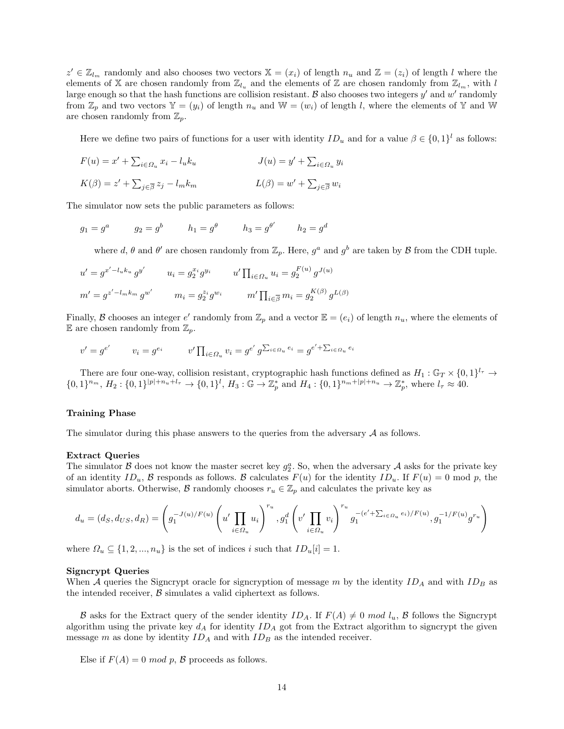$z' \in \mathbb{Z}_{l_m}$  randomly and also chooses two vectors  $\mathbb{X} = (x_i)$  of length  $n_u$  and  $\mathbb{Z} = (z_i)$  of length l where the elements of X are chosen randomly from  $\mathbb{Z}_{l_n}$  and the elements of Z are chosen randomly from  $\mathbb{Z}_{l_m}$ , with l large enough so that the hash functions are collision resistant.  $\beta$  also chooses two integers  $y'$  and  $w'$  randomly from  $\mathbb{Z}_p$  and two vectors  $\mathbb{Y} = (y_i)$  of length  $n_u$  and  $\mathbb{W} = (w_i)$  of length l, where the elements of Y and W are chosen randomly from  $\mathbb{Z}_p$ .

Here we define two pairs of functions for a user with identity  $ID_u$  and for a value  $\beta \in \{0,1\}^l$  as follows:

$$
F(u) = x' + \sum_{i \in \Omega_u} x_i - l_u k_u
$$
  

$$
J(u) = y' + \sum_{i \in \Omega_u} y_i
$$
  

$$
K(\beta) = z' + \sum_{j \in \overline{\beta}} z_j - l_m k_m
$$
  

$$
L(\beta) = w' + \sum_{j \in \overline{\beta}} w_i
$$

The simulator now sets the public parameters as follows:

 $g_1=g^a$   $g_2=g^b$   $h_1=g^\theta$   $h_3=g^{\theta'}$   $h_2=g^d$ 

where d,  $\theta$  and  $\theta'$  are chosen randomly from  $\mathbb{Z}_p$ . Here,  $g^a$  and  $g^b$  are taken by  $\mathcal B$  from the CDH tuple.

$$
u' = g^{x'-l_u k_u} g^{y'} \qquad u_i = g_2^{x_i} g^{y_i} \qquad u' \prod_{i \in \Omega_u} u_i = g_2^{F(u)} g^{J(u)}
$$

$$
m' = g^{z'-l_m k_m} g^{w'} \qquad m_i = g_2^{z_i} g^{w_i} \qquad m' \prod_{i \in \overline{\beta}} m_i = g_2^{K(\beta)} g^{L(\beta)}
$$

Finally, B chooses an integer e' randomly from  $\mathbb{Z}_p$  and a vector  $\mathbb{E} = (e_i)$  of length  $n_u$ , where the elements of  $\mathbb E$  are chosen randomly from  $\mathbb Z_p$ .

$$
v' = g^{e'}
$$
  $v_i = g^{e_i}$   $v' \prod_{i \in \Omega_u} v_i = g^{e'} g^{\sum_{i \in \Omega_u} e_i} = g^{e' + \sum_{i \in \Omega_u} e_i}$ 

There are four one-way, collision resistant, cryptographic hash functions defined as  $H_1: \mathbb{G}_T \times \{0,1\}^{l_{\tau}} \to$  $\{0,1\}^{n_m}, H_2: \{0,1\}^{|p|+n_u+l_{\tau}} \to \{0,1\}^l, H_3: \mathbb{G} \to \mathbb{Z}_p^*$  and  $H_4: \{0,1\}^{n_m+|p|+n_u} \to \mathbb{Z}_p^*$ , where  $l_{\tau} \approx 40$ .

## Training Phase

The simulator during this phase answers to the queries from the adversary  $A$  as follows.

### Extract Queries

The simulator  $\beta$  does not know the master secret key  $g_2^a$ . So, when the adversary  $\mathcal A$  asks for the private key of an identity  $ID_u$ ,  $\beta$  responds as follows.  $\beta$  calculates  $F(u)$  for the identity  $ID_u$ . If  $F(u) = 0 \text{ mod } p$ , the simulator aborts. Otherwise, B randomly chooses  $r_u \in \mathbb{Z}_p$  and calculates the private key as

$$
d_u = (d_S, d_{US}, d_R) = \left( g_1^{-J(u)/F(u)} \left( u' \prod_{i \in \Omega_u} u_i \right)^{r_u}, g_1^d \left( v' \prod_{i \in \Omega_u} v_i \right)^{r_u} g_1^{-(e' + \sum_{i \in \Omega_u} e_i)/F(u)}, g_1^{-1/F(u)} g^{r_u} \right)
$$

where  $\Omega_u \subseteq \{1, 2, ..., n_u\}$  is the set of indices i such that  $ID_u[i] = 1$ .

#### Signcrypt Queries

When A queries the Signcrypt oracle for signcryption of message m by the identity  $ID_A$  and with  $ID_B$  as the intended receiver,  $\beta$  simulates a valid ciphertext as follows.

B asks for the Extract query of the sender identity  $ID_A$ . If  $F(A) \neq 0 \mod l_u$ , B follows the Signcrypt algorithm using the private key  $d_A$  for identity  $ID_A$  got from the Extract algorithm to signcrypt the given message m as done by identity  $ID_A$  and with  $ID_B$  as the intended receiver.

Else if  $F(A) = 0 \mod p$ , B proceeds as follows.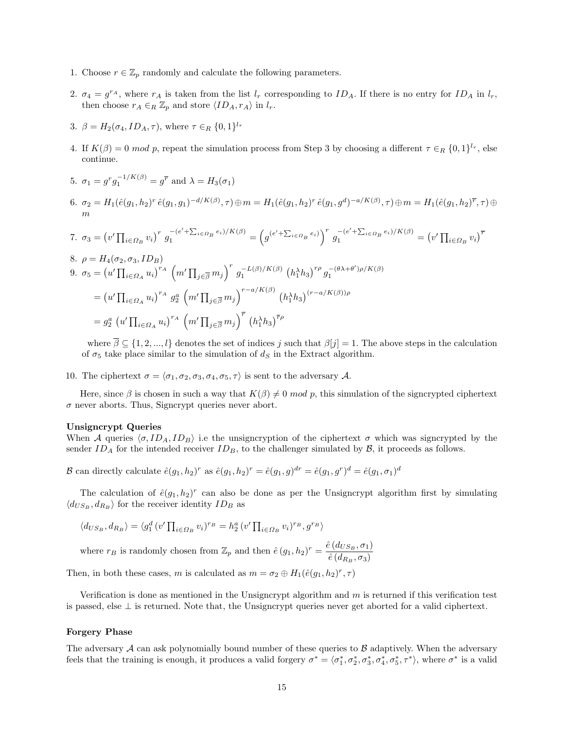- 1. Choose  $r \in \mathbb{Z}_p$  randomly and calculate the following parameters.
- 2.  $\sigma_4 = g^{r_A}$ , where  $r_A$  is taken from the list  $l_r$  corresponding to  $ID_A$ . If there is no entry for  $ID_A$  in  $l_r$ , then choose  $r_A \in_R \mathbb{Z}_p$  and store  $\langle ID_A, r_A \rangle$  in  $l_r$ .
- 3.  $\beta = H_2(\sigma_4, ID_A, \tau)$ , where  $\tau \in_R \{0, 1\}^{l_{\tau}}$
- 4. If  $K(\beta) = 0 \mod p$ , repeat the simulation process from Step 3 by choosing a different  $\tau \in_R \{0,1\}^{l_{\tau}},$  else continue.

5. 
$$
\sigma_1 = g^r g_1^{-1/K(\beta)} = g^{\overline{r}}
$$
 and  $\lambda = H_3(\sigma_1)$ 

 $\delta. \ \sigma_2 = H_1(\hat{e}(g_1,h_2)^r \, \hat{e}(g_1,g_1)^{-d/K(\beta)}, \tau) \oplus m = H_1(\hat{e}(g_1,h_2)^r \, \hat{e}(g_1,g^d)^{-a/K(\beta)}, \tau) \oplus m = H_1(\hat{e}(g_1,h_2)^{\overline{r}},\tau) \oplus m$ m

7. 
$$
\sigma_3 = (v' \prod_{i \in \Omega_B} v_i)^r g_1^{-(e' + \sum_{i \in \Omega_B} e_i)/K(\beta)} = (g^{(e' + \sum_{i \in \Omega_B} e_i)})^r g_1^{-(e' + \sum_{i \in \Omega_B} e_i)/K(\beta)} = (v' \prod_{i \in \Omega_B} v_i)^{\overline{r}}
$$

8. 
$$
\rho = H_4(\sigma_2, \sigma_3, ID_B)
$$
  
\n9. 
$$
\sigma_5 = (u' \prod_{i \in \Omega_A} u_i)^{r_A} (m' \prod_{j \in \overline{\beta}} m_j)^r g_1^{-L(\beta)/K(\beta)} (h_1^{\lambda} h_3)^{r\rho} g_1^{-(\theta \lambda + \theta')\rho/K(\beta)}
$$
  
\n
$$
= (u' \prod_{i \in \Omega_A} u_i)^{r_A} g_2^a (m' \prod_{j \in \overline{\beta}} m_j)^{r-a/K(\beta)} (h_1^{\lambda} h_3)^{(r-a/K(\beta))\rho}
$$
  
\n
$$
= g_2^a (u' \prod_{i \in \Omega_A} u_i)^{r_A} (m' \prod_{j \in \overline{\beta}} m_j)^{\overline{r}} (h_1^{\lambda} h_3)^{\overline{r}\rho}
$$

where  $\overline{\beta} \subseteq \{1, 2, ..., l\}$  denotes the set of indices j such that  $\beta[j] = 1$ . The above steps in the calculation of  $\sigma_5$  take place similar to the simulation of  $d_S$  in the Extract algorithm.

10. The ciphertext  $\sigma = \langle \sigma_1, \sigma_2, \sigma_3, \sigma_4, \sigma_5, \tau \rangle$  is sent to the adversary A.

Here, since  $\beta$  is chosen in such a way that  $K(\beta) \neq 0 \mod p$ , this simulation of the signcrypted ciphertext  $\sigma$  never aborts. Thus, Signcrypt queries never abort.

#### Unsigncrypt Queries

When A queries  $\langle \sigma, ID_A, ID_B \rangle$  i.e the unsigncryption of the ciphertext  $\sigma$  which was signcrypted by the sender  $ID_A$  for the intended receiver  $ID_B$ , to the challenger simulated by  $B$ , it proceeds as follows.

B can directly calculate  $\hat{e}(g_1, h_2)^r$  as  $\hat{e}(g_1, h_2)^r = \hat{e}(g_1, g)^{dr} = \hat{e}(g_1, g^r)^d = \hat{e}(g_1, \sigma_1)^d$ 

The calculation of  $\hat{e}(g_1, h_2)^r$  can also be done as per the Unsigncrypt algorithm first by simulating  $\langle d_{USB}, d_{R_B} \rangle$  for the receiver identity  $ID_B$  as

$$
\langle d_{US_B}, d_{R_B} \rangle = \langle g_1^d \left( v' \prod_{i \in \Omega_B} v_i \right)^{r_B} = h_2^a \left( v' \prod_{i \in \Omega_B} v_i \right)^{r_B}, g^{r_B} \rangle
$$

where  $r_B$  is randomly chosen from  $\mathbb{Z}_p$  and then  $\hat{e}(g_1, h_2)^r = \frac{\hat{e}(d_{US_B}, \sigma_1)}{\hat{e}(d_{US_B}, \sigma_1)}$  $\hat{e}\left(d_{R_B}, \sigma_3\right)$ 

Then, in both these cases, m is calculated as  $m = \sigma_2 \oplus H_1(\hat{e}(g_1, h_2)^r, \tau)$ 

Verification is done as mentioned in the Unsigncrypt algorithm and m is returned if this verification test is passed, else ⊥ is returned. Note that, the Unsigncrypt queries never get aborted for a valid ciphertext.

# Forgery Phase

The adversary A can ask polynomially bound number of these queries to  $\beta$  adaptively. When the adversary feels that the training is enough, it produces a valid forgery  $\sigma^* = \langle \sigma_1^*, \sigma_2^*, \sigma_3^*, \sigma_4^*, \sigma_5^*, \tau^* \rangle$ , where  $\sigma^*$  is a valid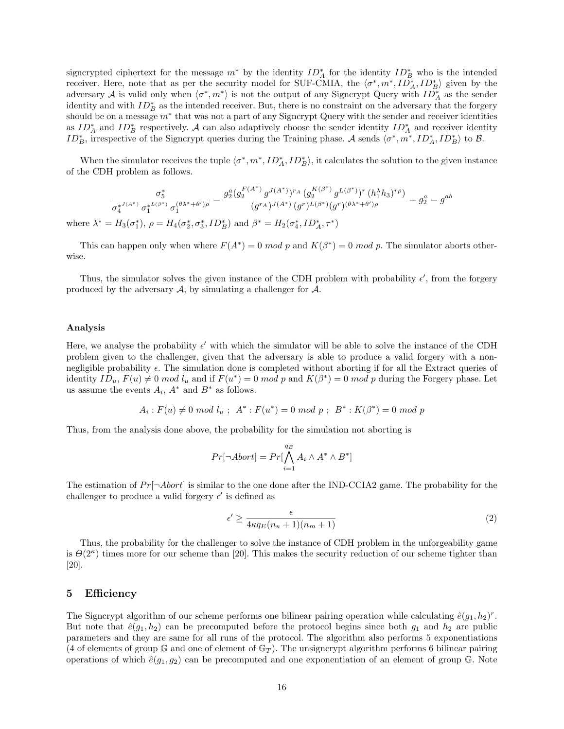signcrypted ciphertext for the message  $m^*$  by the identity  $ID_A^*$  for the identity  $ID_B^*$  who is the intended receiver. Here, note that as per the security model for SUF-CMIA, the  $\langle \sigma^*, m^*, ID_A^*, ID_B^* \rangle$  given by the adversary A is valid only when  $\langle \sigma^*, m^* \rangle$  is not the output of any Signcrypt Query with  $ID_A^*$  as the sender identity and with  $ID_B^*$  as the intended receiver. But, there is no constraint on the adversary that the forgery should be on a message  $m^*$  that was not a part of any Signcrypt Query with the sender and receiver identities as  $ID_A^*$  and  $ID_B^*$  respectively. A can also adaptively choose the sender identity  $ID_A^*$  and receiver identity  $ID_B^*$ , irrespective of the Signcrypt queries during the Training phase. A sends  $\langle \sigma^*, m^*, ID_A^*, ID_B^* \rangle$  to B.

When the simulator receives the tuple  $\langle \sigma^*, m^*, ID_A^*, ID_B^* \rangle$ , it calculates the solution to the given instance of the CDH problem as follows.

$$
\frac{\sigma_5^*}{\sigma_4^{*J(A^*)}\,\sigma_1^{*L(\beta^*)}\,\sigma_1^{(\theta\lambda^*+\theta')\rho}} = \frac{g_2^a(g_2^{F(A^*)}\,g^{J(A^*)})^{r_A}\,(g_2^{K(\beta^*)}\,g^{L(\beta^*)})^r\,(h_1^{\lambda}h_3)^{r\rho})}{(g^{r_A})^{J(A^*)}\,(g^r)^{L(\beta^*)}(g^r)^{(\theta\lambda^*+\theta')\rho}} = g_2^a = g^{ab}
$$
\nwhere  $\lambda^* = H_3(\sigma_1^*), \, \rho = H_4(\sigma_2^*, \sigma_3^*, ID_B^*)$  and  $\beta^* = H_2(\sigma_4^*, ID_A^*, \tau^*)$ 

This can happen only when where  $F(A^*) = 0 \mod p$  and  $K(\beta^*) = 0 \mod p$ . The simulator aborts otherwise.

Thus, the simulator solves the given instance of the CDH problem with probability  $\epsilon'$ , from the forgery produced by the adversary  $\mathcal{A}$ , by simulating a challenger for  $\mathcal{A}$ .

# Analysis

Here, we analyse the probability  $\epsilon'$  with which the simulator will be able to solve the instance of the CDH problem given to the challenger, given that the adversary is able to produce a valid forgery with a nonnegligible probability  $\epsilon$ . The simulation done is completed without aborting if for all the Extract queries of identity  $ID_u$ ,  $F(u) \neq 0 \mod l_u$  and if  $F(u^*) = 0 \mod p$  and  $K(\beta^*) = 0 \mod p$  during the Forgery phase. Let us assume the events  $A_i$ ,  $A^*$  and  $B^*$  as follows.

$$
A_i: F(u) \neq 0 \mod l_u \ ; \ A^*: F(u^*) = 0 \mod p \ ; \ B^*: K(\beta^*) = 0 \mod p
$$

Thus, from the analysis done above, the probability for the simulation not aborting is

$$
Pr[\neg{Abort}] = Pr[\bigwedge_{i=1}^{q_E} A_i \wedge A^* \wedge B^*]
$$

The estimation of  $Pr[\neg Abort]$  is similar to the one done after the IND-CCIA2 game. The probability for the challenger to produce a valid forgery  $\epsilon'$  is defined as

$$
\epsilon' \ge \frac{\epsilon}{4\kappa q_E(n_u+1)(n_m+1)}\tag{2}
$$

Thus, the probability for the challenger to solve the instance of CDH problem in the unforgeability game is  $\Theta(2^{\kappa})$  times more for our scheme than [20]. This makes the security reduction of our scheme tighter than [20].

# 5 Efficiency

The Signcrypt algorithm of our scheme performs one bilinear pairing operation while calculating  $\hat{e}(g_1, h_2)^r$ . But note that  $\hat{e}(g_1, h_2)$  can be precomputed before the protocol begins since both  $g_1$  and  $h_2$  are public parameters and they are same for all runs of the protocol. The algorithm also performs 5 exponentiations (4 of elements of group G and one of element of  $\mathbb{G}_T$ ). The unsigncrypt algorithm performs 6 bilinear pairing operations of which  $\hat{e}(g_1, g_2)$  can be precomputed and one exponentiation of an element of group G. Note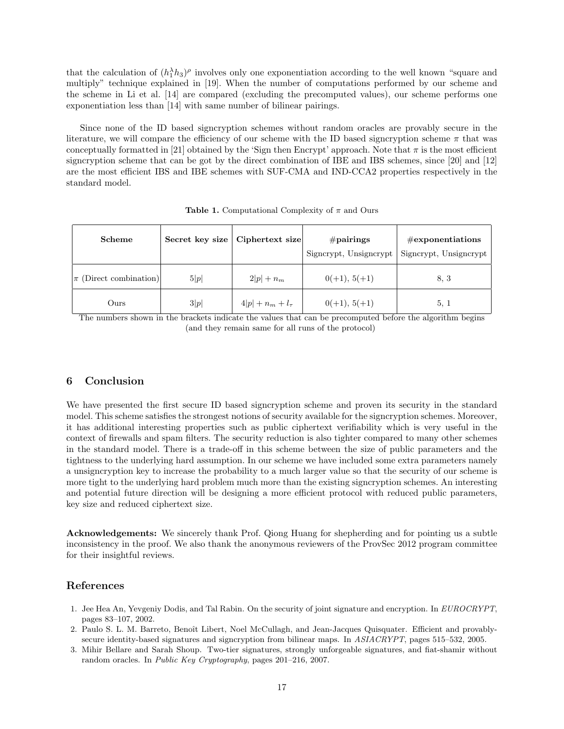that the calculation of  $(h_1 \lambda h_3)^\rho$  involves only one exponentiation according to the well known "square and multiply" technique explained in [19]. When the number of computations performed by our scheme and the scheme in Li et al. [14] are compared (excluding the precomputed values), our scheme performs one exponentiation less than [14] with same number of bilinear pairings.

Since none of the ID based signcryption schemes without random oracles are provably secure in the literature, we will compare the efficiency of our scheme with the ID based signcryption scheme  $\pi$  that was conceptually formatted in [21] obtained by the 'Sign then Encrypt' approach. Note that  $\pi$  is the most efficient signcryption scheme that can be got by the direct combination of IBE and IBS schemes, since [20] and [12] are the most efficient IBS and IBE schemes with SUF-CMA and IND-CCA2 properties respectively in the standard model.

| <b>Scheme</b>               | Secret key size | Ciphertext size       | $\#$ pairings<br>Signcrypt, Unsigncrypt | #exponentiations<br>Signcrypt, Unsigncrypt |
|-----------------------------|-----------------|-----------------------|-----------------------------------------|--------------------------------------------|
| $ \pi$ (Direct combination) | 5 p             | $2 p +n_m$            | $0(+1), 5(+1)$                          | 8, 3                                       |
| Ours                        | 3 p             | $4 p  + n_m + l_\tau$ | $0(+1), 5(+1)$                          | 5, 1                                       |

Table 1. Computational Complexity of  $\pi$  and Ours

The numbers shown in the brackets indicate the values that can be precomputed before the algorithm begins (and they remain same for all runs of the protocol)

# 6 Conclusion

We have presented the first secure ID based signcryption scheme and proven its security in the standard model. This scheme satisfies the strongest notions of security available for the signcryption schemes. Moreover, it has additional interesting properties such as public ciphertext verifiability which is very useful in the context of firewalls and spam filters. The security reduction is also tighter compared to many other schemes in the standard model. There is a trade-off in this scheme between the size of public parameters and the tightness to the underlying hard assumption. In our scheme we have included some extra parameters namely a unsigncryption key to increase the probability to a much larger value so that the security of our scheme is more tight to the underlying hard problem much more than the existing signcryption schemes. An interesting and potential future direction will be designing a more efficient protocol with reduced public parameters, key size and reduced ciphertext size.

Acknowledgements: We sincerely thank Prof. Qiong Huang for shepherding and for pointing us a subtle inconsistency in the proof. We also thank the anonymous reviewers of the ProvSec 2012 program committee for their insightful reviews.

# References

- 1. Jee Hea An, Yevgeniy Dodis, and Tal Rabin. On the security of joint signature and encryption. In EUROCRYPT, pages 83–107, 2002.
- 2. Paulo S. L. M. Barreto, Benoît Libert, Noel McCullagh, and Jean-Jacques Quisquater. Efficient and provablysecure identity-based signatures and signcryption from bilinear maps. In ASIACRYPT, pages 515–532, 2005.
- 3. Mihir Bellare and Sarah Shoup. Two-tier signatures, strongly unforgeable signatures, and fiat-shamir without random oracles. In Public Key Cryptography, pages 201–216, 2007.